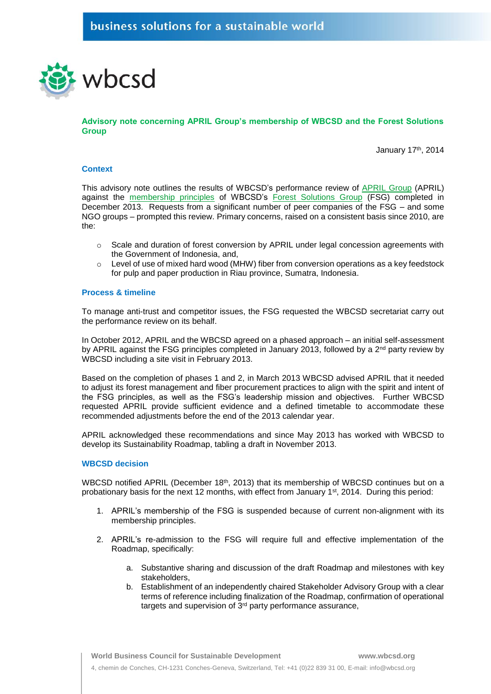

**Advisory note concerning APRIL Group's membership of WBCSD and the Forest Solutions Group** 

January 17th, 2014

### **Context**

This advisory note outlines the results of WBCSD's performance review of [APRIL Group](http://www.aprilasia.com/index.php) (APRIL) against the [membership principles](http://www.wbcsd.org/Pages/EDocument/EDocumentDetails.aspx?ID=120&NoSearchContextKey=true) of WBCSD's [Forest Solutions Group](http://www.wbcsd.org/work-program/sector-projects/sustainable-forest-products-industry.aspx) (FSG) completed in December 2013. Requests from a significant number of peer companies of the FSG – and some NGO groups – prompted this review. Primary concerns, raised on a consistent basis since 2010, are the:

- $\circ$  Scale and duration of forest conversion by APRIL under legal concession agreements with the Government of Indonesia, and,
- $\circ$  Level of use of mixed hard wood (MHW) fiber from conversion operations as a key feedstock for pulp and paper production in Riau province, Sumatra, Indonesia.

# **Process & timeline**

To manage anti-trust and competitor issues, the FSG requested the WBCSD secretariat carry out the performance review on its behalf.

In October 2012, APRIL and the WBCSD agreed on a phased approach – an initial self-assessment by APRIL against the FSG principles completed in January 2013, followed by a  $2<sup>nd</sup>$  party review by WBCSD including a site visit in February 2013.

Based on the completion of phases 1 and 2, in March 2013 WBCSD advised APRIL that it needed to adjust its forest management and fiber procurement practices to align with the spirit and intent of the FSG principles, as well as the FSG's leadership mission and objectives. Further WBCSD requested APRIL provide sufficient evidence and a defined timetable to accommodate these recommended adjustments before the end of the 2013 calendar year.

APRIL acknowledged these recommendations and since May 2013 has worked with WBCSD to develop its Sustainability Roadmap, tabling a draft in November 2013.

# **WBCSD decision**

WBCSD notified APRIL (December 18<sup>th</sup>, 2013) that its membership of WBCSD continues but on a probationary basis for the next 12 months, with effect from January 1st, 2014. During this period:

- 1. APRIL's membership of the FSG is suspended because of current non-alignment with its membership principles.
- 2. APRIL's re-admission to the FSG will require full and effective implementation of the Roadmap, specifically:
	- a. Substantive sharing and discussion of the draft Roadmap and milestones with key stakeholders,
	- b. Establishment of an independently chaired Stakeholder Advisory Group with a clear terms of reference including finalization of the Roadmap, confirmation of operational targets and supervision of 3rd party performance assurance,